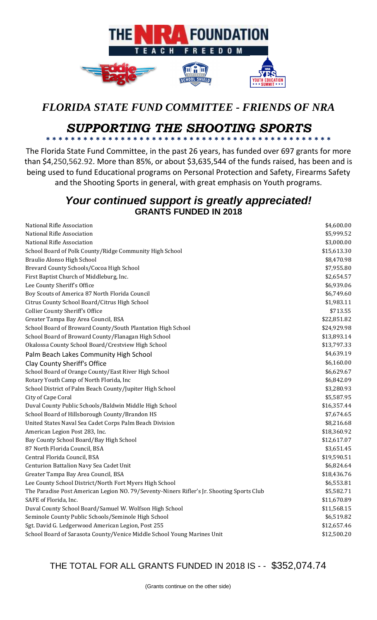

## *FLORIDA STATE FUND COMMITTEE - FRIENDS OF NRA*

## *SUPPORTING THE SHOOTING SPORTS* **\* \* \* \* \* \* \* \* \* \* \* \* \* \* \* \* \* \* \* \* \* \* \* \* \* \* \* \* \* \* \* \* \* \* \* \* \* \* \* \* \* \* \* \* \* \***

The Florida State Fund Committee, in the past 26 years, has funded over 697 grants for more than \$4,250,562.92. More than 85%, or about \$3,635,544 of the funds raised, has been and is being used to fund Educational programs on Personal Protection and Safety, Firearms Safety and the Shooting Sports in general, with great emphasis on Youth programs.

## *Your continued support is greatly appreciated!* **GRANTS FUNDED IN 2018**

| National Rifle Association                                                                | \$4,600.00  |
|-------------------------------------------------------------------------------------------|-------------|
| National Rifle Association                                                                | \$5,999.52  |
| National Rifle Association                                                                | \$3,000.00  |
| School Board of Polk County/Ridge Community High School                                   | \$15,613.30 |
| Braulio Alonso High School                                                                | \$8,470.98  |
| Brevard County Schools/Cocoa High School                                                  | \$7,955.80  |
| First Baptist Church of Middleburg, Inc.                                                  | \$2,654.57  |
| Lee County Sheriff's Office                                                               | \$6,939.06  |
| Boy Scouts of America 87 North Florida Council                                            | \$6,749.60  |
| Citrus County School Board/Citrus High School                                             | \$1,983.11  |
| <b>Collier County Sheriff's Office</b>                                                    | \$713.55    |
| Greater Tampa Bay Area Council, BSA                                                       | \$22,851.82 |
| School Board of Broward County/South Plantation High School                               | \$24,929.98 |
| School Board of Broward County/Flanagan High School                                       | \$13,893.14 |
| Okalossa County School Board/Crestview High School                                        | \$13,797.33 |
| Palm Beach Lakes Community High School                                                    | \$4,639.19  |
| Clay County Sheriff's Office                                                              | \$6,160.00  |
| School Board of Orange County/East River High School                                      | \$6,629.67  |
| Rotary Youth Camp of North Florida, Inc                                                   | \$6,842.09  |
| School District of Palm Beach County/Jupiter High School                                  | \$3,280.93  |
| City of Cape Coral                                                                        | \$5,587.95  |
| Duval County Public Schools/Baldwin Middle High School                                    | \$16,357.44 |
| School Board of Hillsborough County/Brandon HS                                            | \$7,674.65  |
| United States Naval Sea Cadet Corps Palm Beach Division                                   | \$8,216.68  |
| American Legion Post 283, Inc.                                                            | \$18,360.92 |
| Bay County School Board/Bay High School                                                   | \$12,617.07 |
| 87 North Florida Council, BSA                                                             | \$3,651.45  |
| Central Florida Council, BSA                                                              | \$19,590.51 |
| Centurion Battalion Navy Sea Cadet Unit                                                   | \$6,824.64  |
| Greater Tampa Bay Area Council, BSA                                                       | \$18,436.76 |
| Lee County School District/North Fort Myers High School                                   | \$6,553.81  |
| The Paradise Post American Legion NO. 79/Seventy-Niners Rifler's Jr. Shooting Sports Club | \$5,582.71  |
| SAFE of Florida, Inc.                                                                     | \$11,670.89 |
| Duval County School Board/Samuel W. Wolfson High School                                   | \$11,568.15 |
| Seminole County Public Schools/Seminole High School                                       | \$6,519.82  |
| Sgt. David G. Ledgerwood American Legion, Post 255                                        | \$12,657.46 |
| School Board of Sarasota County/Venice Middle School Young Marines Unit                   | \$12,500.20 |

THE TOTAL FOR ALL GRANTS FUNDED IN 2018 IS - - \$352,074.74